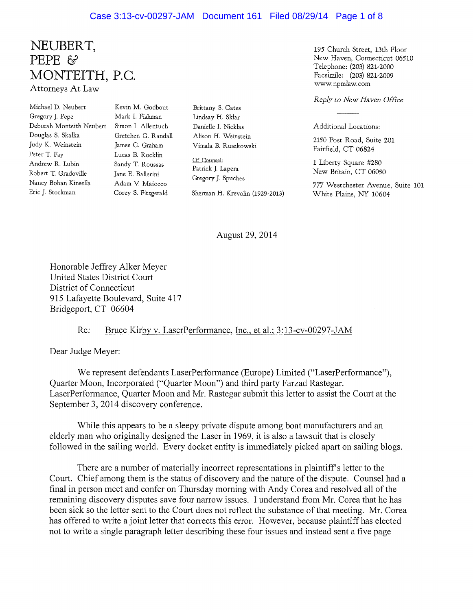#### Case 3:13-cv-00297-JAM Document 161 Filed 08/29/14 Page 1 of 8

### **NEUBERT, PEPE** &' **MONTEITH, P.C.** Attorneys At Law

Michael D. Neubert Gregory J. Pepe Deborah Monteith Neubert Douglas S. Skalka Judy K. Weinstein Peter T. Fay Andrew R. Lubin Robert T. Gradoville Nancy Bohan Kinsella Eric J. Stockman

Kevin M. Godbout Mark 1. Fishman Simon 1. Allentuch Gretchen G. Randall James C. Graham Lucas B. Rocklin Sandy T. Roussas Jane E. Ballerini Adam V. Maiocco Corey S. Fitzgerald

Brittany S. Cates Lindsay H. Sklar Danielle 1. Nicklas Alison H. Weinstein Vimala B. Ruszkowski

Of Counsel: Patrick J. Lapera Gregory J. Spuches

Sherman H. Krevolin (1929-2013)

195 Church Street, 13th Floor New Haven, Connecticut 06510 Telephone: (203) 821-2000 Facsimile: (203) 821-2009 www.npmlaw.com

*Reply to New Haven Office*

Additional Locations:

2150 Post Road, Suite 201 Fairfield, CT 06824

1 Liberty Square #280 New Britain, CT 06050

777 Westchester Avenue, Suite 101 White Plains, NY 10604

August 29,2014

Honorable Jeffrey Alker Meyer United States District Court District of Connecticut 915 Lafayette Boulevard, Suite 417 Bridgeport, CT 06604

#### Re: Bruce Kirby v. LaserPerformance, Inc., et al.; 3:13-cv-00297-JAM

Dear Judge Meyer:

We represent defendants LaserPerformance (Europe) Limited ("LaserPerformance"), Quarter Moon, Incorporated ("Quarter Moon") and third party Farzad Rastegar. LaserPerformance, Quarter Moon and Mr. Rastegar submit this letter to assist the Court at the September 3, 2014 discovery conference.

While this appears to be a sleepy private dispute among boat manufacturers and an elderly man who originally designed the Laser in 1969, it is also a lawsuit that is closely followed in the sailing world. Every docket entity is immediately picked apart on sailing blogs.

There are a number of materially incorrect representations in plaintiff's letter to the Court. Chief among them is the status of discovery and the nature of the dispute. Counsel had a final in person meet and confer on Thursday morning with Andy Corea and resolved all of the remaining discovery disputes save four narrow issues. I understand from Mr. Corea that he has been sick so the letter sent to the Court does not reflect the substance of that meeting. Mr. Corea has offered to write a joint letter that corrects this error. However, because plaintiff has elected not to write a single paragraph letter describing these four issues and instead sent a five page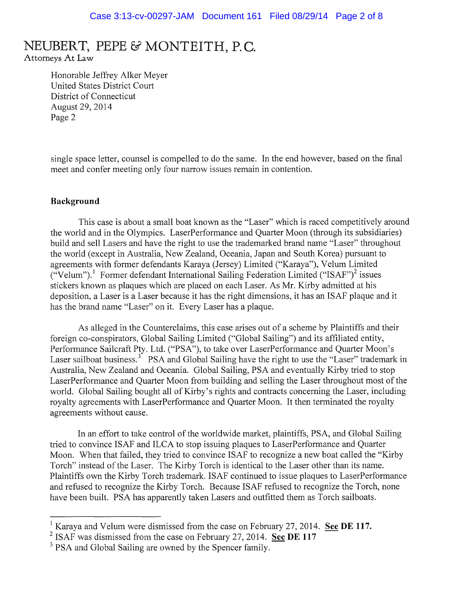Attorneys At Law

Honorable Jeffrey Alker Meyer United States District Court District of Connecticut August 29,2014 Page 2

single space letter, counsel is compelled to do the same. In the end however, based on the final meet and confer meeting only four narrow issues remain in contention.

#### **Background**

This case is about a small boat known as the "Laser" which is raced competitively around the world and in the Olympics. LaserPerformance and Quarter Moon (through its subsidiaries) build and sell Lasers and have the right to use the trademarked brand name "Laser" throughout the world (except in Australia, New Zealand, Oceania, Japan and South Korea) pursuant to agreements with former defendants Karaya (Jersey) Limited ("Karaya"), Velum Limited ("Velum").<sup>1</sup> Former defendant International Sailing Federation Limited ("ISAF")<sup>2</sup> issues stickers known as plaques which are placed on each Laser. As Mr. Kirby admitted at his deposition, a Laser is a Laser because it has the right dimensions, it has an ISAF plaque and it has the brand name "Laser" on it. Every Laser has a plaque.

As alleged in the Counterclaims, this case arises out of a scheme by Plaintiffs and their foreign co-conspirators, Global Sailing Limited ("Global Sailing") and its affiliated entity, Performance Sailcraft Pty. Ltd. ("PSA"), to take over LaserPerformance and Quarter Moon's Laser sailboat business.<sup>3</sup> PSA and Global Sailing have the right to use the "Laser" trademark in Australia, New Zealand and Oceania. Global Sailing, PSA and eventually Kirby tried to stop LaserPerformance and Quarter Moon from building and selling the Laser throughout most of the world. Global Sailing bought **all** of Kirby's rights and contracts concerning the Laser, including royalty agreements with LaserPerformance and Quarter Moon. It then terminated the royalty agreements without cause.

In an effort to take control of the worldwide market, plaintiffs, PSA, and Global Sailing tried to convince ISAF and ILCA to stop issuing plaques to LaserPerformance and Quarter Moon. When that failed, they tried to convince ISAF to recognize a new boat called the "Kirby Torch" instead of the Laser. The Kirby Torch is identical to the Laser other than its name. Plaintiffs own the Kirby Torch trademark. ISAF continued to issue plaques to LaserPerformance and refused to recognize the Kirby Torch. Because ISAF refused to recognize the Torch, none have been built. PSA has apparently taken Lasers and outfitted them as Torch sailboats.

<sup>]</sup> Karaya and Velum were dismissed from the case on February 27, 2014. **See DE 117.**

<sup>2</sup> ISAF was dismissed from the case on February 27,2014. **See DE 117**

<sup>&</sup>lt;sup>3</sup> PSA and Global Sailing are owned by the Spencer family.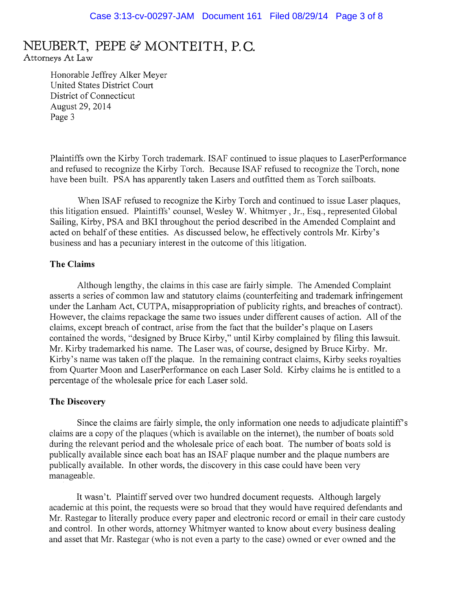Attorneys At Law

Honorable Jeffrey Alker Meyer United States District Court District of Connecticut August 29,2014 Page 3

Plaintiffs own the Kirby Torch trademark. ISAF continued to issue plaques to LaserPerformance and refused to recognize the Kirby Torch. Because ISAF refused to recognize the Torch, none have been built. PSA has apparently taken Lasers and outfitted them as Torch sailboats.

When ISAF refused to recognize the Kirby Torch and continued to issue Laser plaques, this litigation ensued. Plaintiffs' counsel, Wesley W. Whitmyer, Jr., Esq., represented Global Sailing, Kirby, PSA and BKI throughout the period described in the Amended Complaint and acted on behalf of these entities. As discussed below, he effectively controls Mr. Kirby's business and has a pecuniary interest in the outcome of this litigation.

#### **The Claims**

Although lengthy, the claims in this case are fairly simple. The Amended Complaint asserts a series of common law and statutory claims (counterfeiting and trademark infringement under the Lanham Act, CUTPA, misappropriation of publicity rights, and breaches of contract). However, the claims repackage the same two issues under different causes of action. All of the claims, except breach of contract, arise from the fact that the builder's plaque on Lasers contained the words, "designed by Bruce Kirby," until Kirby complained by filing this lawsuit. Mr. Kirby trademarked his name. The Laser was, of course, designed by Bruce Kirby. Mr. Kirby's name was taken off the plaque. In the remaining contract claims, Kirby seeks royalties from Quarter Moon and LaserPerformance on each Laser Sold. Kirby claims he is entitled to a percentage of the wholesale price for each Laser sold.

#### **The Discovery**

Since the claims are fairly simple, the only information one needs to adjudicate plaintiff's claims are a copy of the plaques (which is available on the internet), the number of boats sold during the relevant period and the wholesale price of each boat. The number of boats sold is publically available since each boat has an ISAF plaque number and the plaque numbers are publically available. In other words, the discovery in this case could have been very manageable.

It wasn't. Plaintiff served over two hundred document requests. Although largely academic at this point, the requests were so broad that they would have required defendants and Mr. Rastegar to literally produce every paper and electronic record or email in their care custody and control. In other words, attorney Whitmyer wanted to know about every business dealing and asset that Mr. Rastegar (who is not even a party to the case) owned or ever owned and the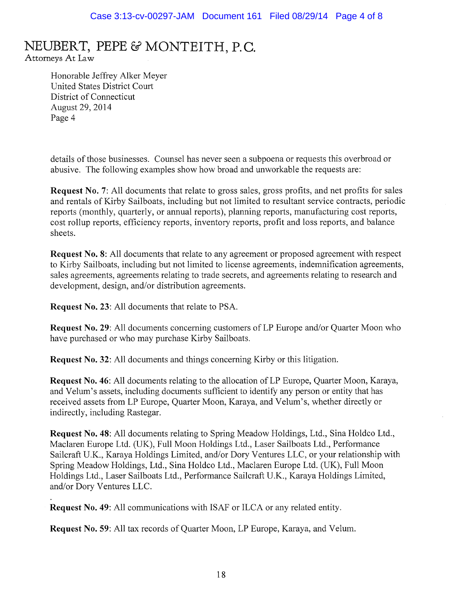Attorneys At Law

Honorable Jeffrey Alker Meyer United States District Court District of Connecticut August 29,2014 Page 4

details of those businesses. Counsel has never seen a subpoena or requests this overbroad or abusive. The following examples show how broad and unworkable the requests are:

**Request** No.7: All documents that relate to gross sales, gross profits, and net profits for sales and rentals of Kirby Sailboats, including but not limited to resultant service contracts, periodic reports (monthly, quarterly, or annual reports), planning reports, manufacturing cost reports, cost rollup reports, efficiency reports, inventory reports, profit and loss reports, and balance sheets.

**Request** No.8: All documents that relate to any agreement or proposed agreement with respect to Kirby Sailboats, including but not limited to license agreements, indemnification agreements, sales agreements, agreements relating to trade secrets, and agreements relating to research and development, design, and/or distribution agreements.

**Request** No. 23: All documents that relate to PSA.

**Request No. 29:** All documents concerning customers of LP Europe and/or Quarter Moon who have purchased or who may purchase Kirby Sailboats.

**Request** No. 32: All documents and things concerning Kirby or this litigation.

**Request No. 46:** All documents relating to the allocation of LP Europe, Quarter Moon, Karaya, and Velum's assets, including documents sufficient to identify any person or entity that has received assets from LP Europe, Quarter Moon, Karaya, and Velum's, whether directly or indirectly, including Rastegar.

**Request** No. 48: All documents relating to Spring Meadow Holdings, Ltd., Sina Holdco Ltd., Maclaren Europe Ltd. (UK), Full Moon Holdings Ltd., Laser Sailboats Ltd., Performance Sailcraft U.K., Karaya Holdings Limited, and/or Dory Ventures LLC, or your relationship with Spring Meadow Holdings, Ltd., Sina Holdco Ltd., Maclaren Europe Ltd. (UK), Full Moon Holdings Ltd., Laser Sailboats Ltd., Performance Sailcraft U.K., Karaya Holdings Limited, and/or Dory Ventures LLC.

**Request** No. 49: All communications with ISAF or ILCA or any related entity.

**Request** No. 59: All tax records of Quarter Moon, LP Europe, Karaya, and Velum.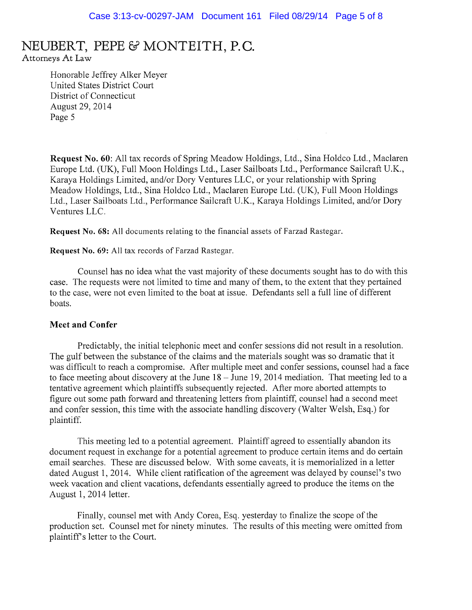Attorneys At Law

Honorable Jeffrey Alker Meyer United States District Court District of Connecticut August 29,2014 Page 5

Request No. 60: All tax records of Spring Meadow Holdings, Ltd., Sina Holdco Ltd., Maclaren Europe Ltd. (UK), Full Moon Holdings Ltd., Laser Sailboats Ltd., Performance Sai1craft U.K., Karaya Holdings Limited, and/or Dory Ventures LLC, or your relationship with Spring Meadow Holdings, Ltd., Sina Holdco Ltd., Maclaren Europe Ltd. (UK), Full Moon Holdings Ltd., Laser Sailboats Ltd., Performance Sailcraft U.K., Karaya Holdings Limited, and/or Dory Ventures LLC.

Request No. 68: All documents relating to the financial assets of Farzad Rastegar.

Request No. 69: All tax records of Farzad Rastegar.

Counsel has no idea what the vast majority of these documents sought has to do with this case. The requests were not limited to time and many of them, to the extent that they pertained to the case, were not even limited to the boat at issue. Defendants sell a full line of different boats.

#### Meet **and** Confer

Predictably, the initial telephonic meet and confer sessions did not result in a resolution. The gulf between the substance of the claims and the materials sought was so dramatic that it was difficult to reach a compromise. After multiple meet and confer sessions, counsel had a face to face meeting about discovery at the June 18 - June 19, 2014 mediation. That meeting led to a tentative agreement which plaintiffs subsequently rejected. After more aborted attempts to figure out some path forward and threatening letters from plaintiff, counsel had a second meet and confer session, this time with the associate handling discovery (Walter Welsh, Esq.) for plaintiff.

This meeting led to a potential agreement. Plaintiff agreed to essentially abandon its document request in exchange for a potential agreement to produce certain items and do certain email searches. These are discussed below. With some caveats, it is memorialized in a letter dated August 1, 2014. While client ratification of the agreement was delayed by counsel's two week vacation and client vacations, defendants essentially agreed to produce the items on the August 1, 2014 letter.

Finally, counsel met with Andy Corea, Esq. yesterday to finalize the scope of the production set. Counsel met for ninety minutes. The results ofthis meeting were omitted from plaintiffs letter to the Court.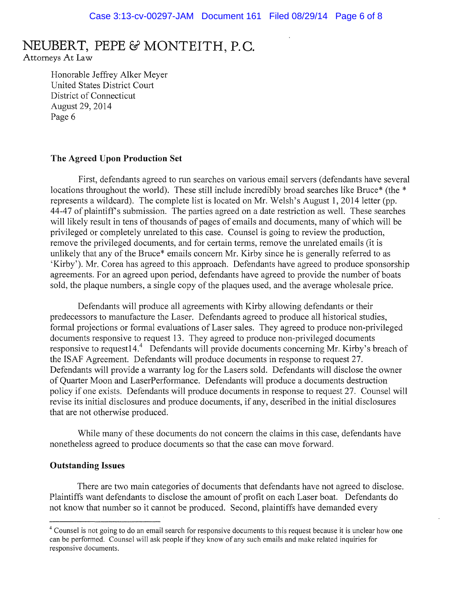Attorneys At Law

Honorable Jeffrey Alker Meyer United States District Court District of Connecticut August 29,2014 Page 6

#### The Agreed Upon Production Set

First, defendants agreed to run searches on various email servers (defendants have several locations throughout the world). These still include incredibly broad searches like Bruce\* (the \* represents a wildcard). The complete list is located on Mr. Welsh's August 1, 2014 letter (pp. 44-47 of plaintiffs submission. The parties agreed on a date restriction as well. These searches will likely result in tens of thousands of pages of emails and documents, many of which will be privileged or completely unrelated to this case. Counsel is going to review the production, remove the privileged documents, and for certain terms, remove the unrelated emails (it is unlikely that any of the Bruce\* emails concern Mr. Kirby since he is generally referred to as 'Kirby'). Mr. Corea has agreed to this approach. Defendants have agreed to produce sponsorship agreements. For an agreed upon period, defendants have agreed to provide the number of boats sold, the plaque numbers, a single copy of the plaques used, and the average wholesale price.

Defendants will produce all agreements with Kirby allowing defendants or their predecessors to manufacture the Laser. Defendants agreed to produce all historical studies, formal projections or formal evaluations of Laser sales. They agreed to produce non-privileged documents responsive to request 13. They agreed to produce non-privileged documents responsive to request14.<sup>4</sup> Defendants will provide documents concerning Mr. Kirby's breach of the ISAF Agreement. Defendants will produce documents in response to request 27. Defendants will provide a warranty log for the Lasers sold. Defendants will disclose the owner of Quarter Moon and LaserPerformance. Defendants will produce a documents destruction policy if one exists. Defendants will produce documents in response to request 27. Counsel will revise its initial disclosures and produce documents, if any, described in the initial disclosures that are not otherwise produced.

While many of these documents do not concern the claims in this case, defendants have nonetheless agreed to produce documents so that the case can move forward.

#### Outstanding Issues

There are two main categories of documents that defendants have not agreed to disclose. Plaintiffs want defendants to disclose the amount of profit on each Laser boat. Defendants do not know that number so it cannot be produced. Second, plaintiffs have demanded every

<sup>&</sup>lt;sup>4</sup> Counsel is not going to do an email search for responsive documents to this request because it is unclear how one can be performed. Counsel will ask people ifthey know of any such emails and make related inquiries for responsive documents.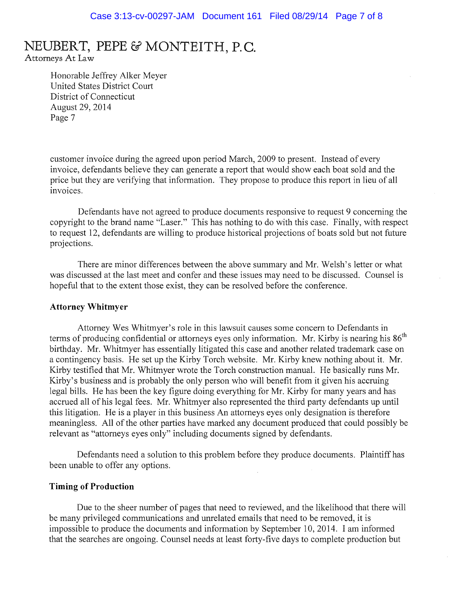Attorneys At Law

Honorable Jeffrey Alker Meyer United States District Court District of Connecticut August 29,2014 Page 7

customer invoice during the agreed upon period March, 2009 to present. Instead of every invoice, defendants believe they can generate a report that would show each boat sold and the price but they are verifying that information. They propose to produce this report in lieu of all invoices.

Defendants have not agreed to produce documents responsive to request 9 concerning the copyright to the brand name "Laser." This has nothing to do with this case. Finally, with respect to request 12, defendants are willing to produce historical projections of boats sold but not future projections.

There are minor differences between the above summary and Mr. Welsh's letter or what was discussed at the last meet and confer and these issues may need to be discussed. Counsel is hopeful that to the extent those exist, they can be resolved before the conference.

#### **Attorney Whitmyer**

Attorney Wes Whitmyer's role in this lawsuit causes some concern to Defendants in terms of producing confidential or attorneys eyes only information. Mr. Kirby is nearing his  $86<sup>th</sup>$ birthday. Mr. Whitmyer has essentially litigated this case and another related trademark case on a contingency basis. He set up the Kirby Torch website. Mr. Kirby knew nothing about it. Mr. Kirby testified that Mr. Whitmyer wrote the Torch construction manual. He basically runs Mr. Kirby's business and is probably the only person who will benefit from it given his accruing legal bills. He has been the key figure doing everything for Mr. Kirby for many years and has accrued all of his legal fees. Mr. Whitmyer also represented the third party defendants up until this litigation. He is a player in this business An attorneys eyes only designation is therefore meaningless. All of the other parties have marked any document produced that could possibly be relevant as "attorneys eyes only" including documents signed by defendants.

Defendants need a solution to this problem before they produce documents. Plaintiff has been unable to offer any options.

#### **Timing of Production**

Due to the sheer number of pages that need to reviewed, and the likelihood that there will be many privileged communications and unrelated emails that need to be removed, it is impossible to produce the documents and information by September 10,2014. I am informed that the searches are ongoing. Counsel needs at least forty-five days to complete production but